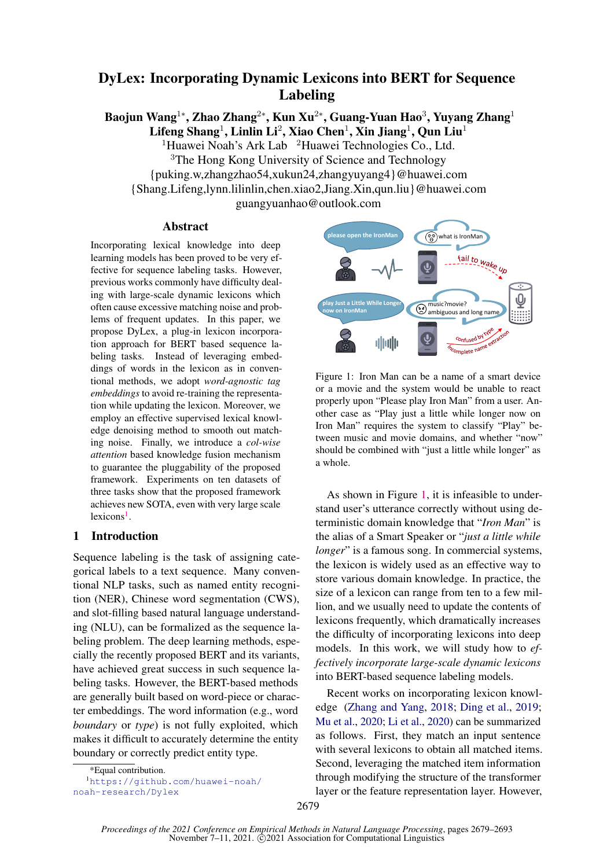# DyLex: Incorporating Dynamic Lexicons into BERT for Sequence Labeling

Baojun Wang $^{1*}$ , Zhao Zhang $^{2*}$ , Kun Xu $^{2*}$ , Guang-Yuan Hao $^3$ , Yuyang Zhang $^1$  ${\rm Lifeng\,Shang^1,\,Linlin\,Li^2,\,Xiao\, Chen^1,\,Xin\, Jiang^1,\,Qun\, Liu^1}$ 

<sup>1</sup>Huawei Noah's Ark Lab  $2$ Huawei Technologies Co., Ltd. <sup>3</sup>The Hong Kong University of Science and Technology

{puking.w,zhangzhao54,xukun24,zhangyuyang4}@huawei.com

{Shang.Lifeng,lynn.lilinlin,chen.xiao2,Jiang.Xin,qun.liu}@huawei.com

guangyuanhao@outlook.com

### Abstract

Incorporating lexical knowledge into deep learning models has been proved to be very effective for sequence labeling tasks. However, previous works commonly have difficulty dealing with large-scale dynamic lexicons which often cause excessive matching noise and problems of frequent updates. In this paper, we propose DyLex, a plug-in lexicon incorporation approach for BERT based sequence labeling tasks. Instead of leveraging embeddings of words in the lexicon as in conventional methods, we adopt *word-agnostic tag embeddings* to avoid re-training the representation while updating the lexicon. Moreover, we employ an effective supervised lexical knowledge denoising method to smooth out matching noise. Finally, we introduce a *col-wise attention* based knowledge fusion mechanism to guarantee the pluggability of the proposed framework. Experiments on ten datasets of three tasks show that the proposed framework achieves new SOTA, even with very large scale lexicons<sup>[1](#page-0-0)</sup>.

# 1 Introduction

Sequence labeling is the task of assigning categorical labels to a text sequence. Many conventional NLP tasks, such as named entity recognition (NER), Chinese word segmentation (CWS), and slot-filling based natural language understanding (NLU), can be formalized as the sequence labeling problem. The deep learning methods, especially the recently proposed BERT and its variants, have achieved great success in such sequence labeling tasks. However, the BERT-based methods are generally built based on word-piece or character embeddings. The word information (e.g., word *boundary* or *type*) is not fully exploited, which makes it difficult to accurately determine the entity boundary or correctly predict entity type.

<sup>1</sup>[https://github.com/huawei-noah/](https://github.com/huawei-noah/noah-research/Dylex) [noah-research/Dylex](https://github.com/huawei-noah/noah-research/Dylex)

<span id="page-0-1"></span>

Figure 1: Iron Man can be a name of a smart device or a movie and the system would be unable to react properly upon "Please play Iron Man" from a user. Another case as "Play just a little while longer now on Iron Man" requires the system to classify "Play" between music and movie domains, and whether "now" should be combined with "just a little while longer" as a whole.

As shown in Figure [1,](#page-0-1) it is infeasible to understand user's utterance correctly without using deterministic domain knowledge that "*Iron Man*" is the alias of a Smart Speaker or "*just a little while longer*" is a famous song. In commercial systems, the lexicon is widely used as an effective way to store various domain knowledge. In practice, the size of a lexicon can range from ten to a few million, and we usually need to update the contents of lexicons frequently, which dramatically increases the difficulty of incorporating lexicons into deep models. In this work, we will study how to *effectively incorporate large-scale dynamic lexicons* into BERT-based sequence labeling models.

Recent works on incorporating lexicon knowledge [\(Zhang and Yang,](#page-11-0) [2018;](#page-11-0) [Ding et al.,](#page-8-0) [2019;](#page-8-0) [Mu et al.,](#page-10-0) [2020;](#page-10-0) [Li et al.,](#page-9-0) [2020\)](#page-9-0) can be summarized as follows. First, they match an input sentence with several lexicons to obtain all matched items. Second, leveraging the matched item information through modifying the structure of the transformer layer or the feature representation layer. However,

<span id="page-0-0"></span><sup>\*</sup>Equal contribution.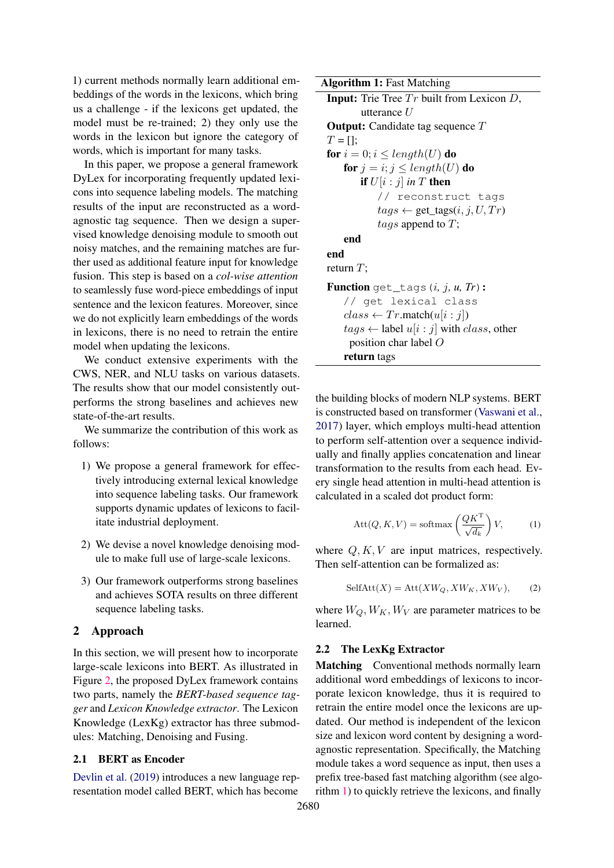1) current methods normally learn additional embeddings of the words in the lexicons, which bring us a challenge - if the lexicons get updated, the model must be re-trained; 2) they only use the words in the lexicon but ignore the category of words, which is important for many tasks.

In this paper, we propose a general framework DyLex for incorporating frequently updated lexicons into sequence labeling models. The matching results of the input are reconstructed as a wordagnostic tag sequence. Then we design a supervised knowledge denoising module to smooth out noisy matches, and the remaining matches are further used as additional feature input for knowledge fusion. This step is based on a *col-wise attention* to seamlessly fuse word-piece embeddings of input sentence and the lexicon features. Moreover, since we do not explicitly learn embeddings of the words in lexicons, there is no need to retrain the entire model when updating the lexicons.

We conduct extensive experiments with the CWS, NER, and NLU tasks on various datasets. The results show that our model consistently outperforms the strong baselines and achieves new state-of-the-art results.

We summarize the contribution of this work as follows:

- 1) We propose a general framework for effectively introducing external lexical knowledge into sequence labeling tasks. Our framework supports dynamic updates of lexicons to facilitate industrial deployment.
- 2) We devise a novel knowledge denoising module to make full use of large-scale lexicons.
- 3) Our framework outperforms strong baselines and achieves SOTA results on three different sequence labeling tasks.

### 2 Approach

In this section, we will present how to incorporate large-scale lexicons into BERT. As illustrated in Figure [2,](#page-2-0) the proposed DyLex framework contains two parts, namely the *BERT-based sequence tagger* and *Lexicon Knowledge extractor*. The Lexicon Knowledge (LexKg) extractor has three submodules: Matching, Denoising and Fusing.

#### 2.1 BERT as Encoder

[Devlin et al.](#page-8-1) [\(2019\)](#page-8-1) introduces a new language representation model called BERT, which has become

<span id="page-1-0"></span>Algorithm 1: Fast Matching **Input:** Trie Tree  $Tr$  built from Lexicon  $D$ , utterance U **Output:** Candidate tag sequence T  $T = []$ ; for  $i = 0; i \leq length(U)$  do for  $j = i$ ;  $j \leq length(U)$  do **if**  $U[i:j]$  *in*  $T$  then // reconstruct tags  $tags(i, j, U, Tr)$ tags append to  $T$ ; end end return  $T$ : Function get\_tags(i*,* j*, u, Tr*): // get lexical class  $class \leftarrow Tr.\text{match}(u[i:j])$  $tags \leftarrow$  label  $u[i:j]$  with *class*, other position char label O return tags

the building blocks of modern NLP systems. BERT is constructed based on transformer [\(Vaswani et al.,](#page-10-1) [2017\)](#page-10-1) layer, which employs multi-head attention to perform self-attention over a sequence individually and finally applies concatenation and linear transformation to the results from each head. Every single head attention in multi-head attention is calculated in a scaled dot product form:

$$
Att(Q, K, V) = softmax\left(\frac{QK^{T}}{\sqrt{d_k}}\right) V, \qquad (1)
$$

where  $Q, K, V$  are input matrices, respectively. Then self-attention can be formalized as:

$$
SelfAtt(X) = Att(XW_Q, XW_K, XW_V), \qquad (2)
$$

where  $W_Q, W_K, W_V$  are parameter matrices to be learned.

# 2.2 The LexKg Extractor

Matching Conventional methods normally learn additional word embeddings of lexicons to incorporate lexicon knowledge, thus it is required to retrain the entire model once the lexicons are updated. Our method is independent of the lexicon size and lexicon word content by designing a wordagnostic representation. Specifically, the Matching module takes a word sequence as input, then uses a prefix tree-based fast matching algorithm (see algorithm [1\)](#page-1-0) to quickly retrieve the lexicons, and finally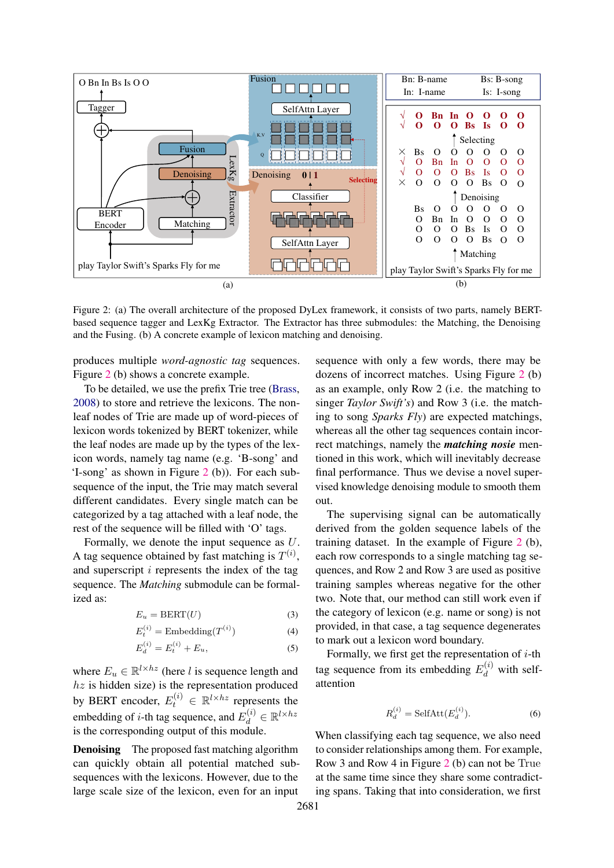<span id="page-2-0"></span>

Figure 2: (a) The overall architecture of the proposed DyLex framework, it consists of two parts, namely BERTbased sequence tagger and LexKg Extractor. The Extractor has three submodules: the Matching, the Denoising and the Fusing. (b) A concrete example of lexicon matching and denoising.

produces multiple *word-agnostic tag* sequences. Figure [2](#page-2-0) (b) shows a concrete example.

To be detailed, we use the prefix Trie tree [\(Brass,](#page-8-2) [2008\)](#page-8-2) to store and retrieve the lexicons. The nonleaf nodes of Trie are made up of word-pieces of lexicon words tokenized by BERT tokenizer, while the leaf nodes are made up by the types of the lexicon words, namely tag name (e.g. 'B-song' and 'I-song' as shown in Figure [2](#page-2-0) (b)). For each subsequence of the input, the Trie may match several different candidates. Every single match can be categorized by a tag attached with a leaf node, the rest of the sequence will be filled with 'O' tags.

Formally, we denote the input sequence as U. A tag sequence obtained by fast matching is  $T^{(i)}$ , and superscript  $i$  represents the index of the tag sequence. The *Matching* submodule can be formalized as:

$$
E_u = BERT(U) \tag{3}
$$

$$
E_t^{(i)} = \text{Embedding}(T^{(i)})\tag{4}
$$

$$
E_d^{(i)} = E_t^{(i)} + E_u,\t\t(5)
$$

where  $E_u \in \mathbb{R}^{l \times hz}$  (here *l* is sequence length and  $hz$  is hidden size) is the representation produced by BERT encoder,  $E_t^{(i)} \in \mathbb{R}^{l \times hz}$  represents the embedding of *i*-th tag sequence, and  $E_d^{(i)} \in \mathbb{R}^{l \times hz}$ is the corresponding output of this module.

**Denoising** The proposed fast matching algorithm can quickly obtain all potential matched subsequences with the lexicons. However, due to the large scale size of the lexicon, even for an input

sequence with only a few words, there may be dozens of incorrect matches. Using Figure [2](#page-2-0) (b) as an example, only Row 2 (i.e. the matching to singer *Taylor Swift's*) and Row 3 (i.e. the matching to song *Sparks Fly*) are expected matchings, whereas all the other tag sequences contain incorrect matchings, namely the *matching nosie* mentioned in this work, which will inevitably decrease final performance. Thus we devise a novel supervised knowledge denoising module to smooth them out.

The supervising signal can be automatically derived from the golden sequence labels of the training dataset. In the example of Figure [2](#page-2-0) (b), each row corresponds to a single matching tag sequences, and Row 2 and Row 3 are used as positive training samples whereas negative for the other two. Note that, our method can still work even if the category of lexicon (e.g. name or song) is not provided, in that case, a tag sequence degenerates to mark out a lexicon word boundary.

Formally, we first get the representation of  $i$ -th tag sequence from its embedding  $E_d^{(i)}$  with selfattention

$$
R_d^{(i)} = \text{SelfAtt}(E_d^{(i)}). \tag{6}
$$

When classifying each tag sequence, we also need to consider relationships among them. For example, Row 3 and Row 4 in Figure [2](#page-2-0) (b) can not be True at the same time since they share some contradicting spans. Taking that into consideration, we first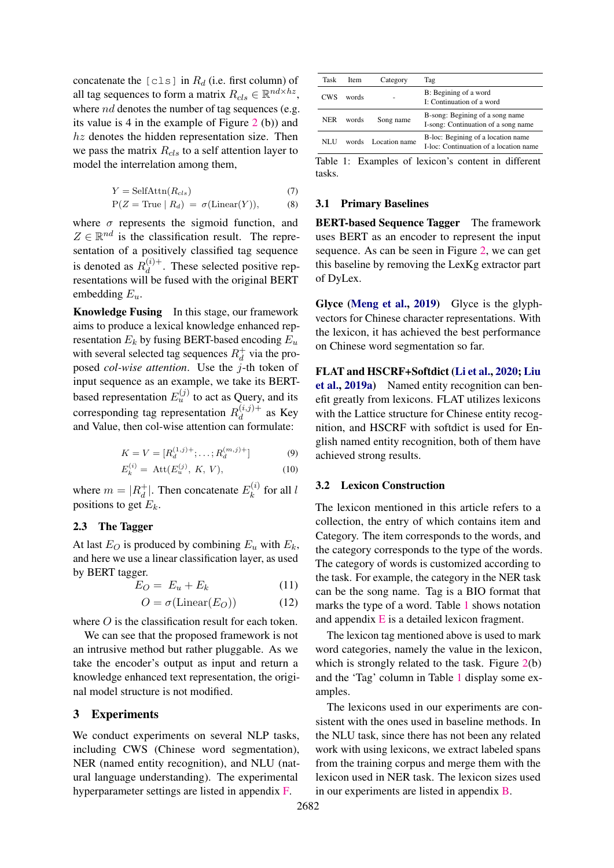concatenate the [cls] in  $R_d$  (i.e. first column) of all tag sequences to form a matrix  $R_{cls} \in \mathbb{R}^{nd \times hz}$ , where *nd* denotes the number of tag sequences (e.g. its value is 4 in the example of Figure [2](#page-2-0) (b)) and  $hz$  denotes the hidden representation size. Then we pass the matrix  $R_{cls}$  to a self attention layer to model the interrelation among them,

$$
Y = \text{SelfAttn}(R_{cls})\tag{7}
$$

$$
P(Z = True | R_d) = \sigma(\text{Linear}(Y)), \tag{8}
$$

where  $\sigma$  represents the sigmoid function, and  $Z \in \mathbb{R}^{nd}$  is the classification result. The representation of a positively classified tag sequence is denoted as  $R_d^{(i)+}$  $\frac{d^{(i)}\tau}{dt}$ . These selected positive representations will be fused with the original BERT embedding  $E_u$ .

Knowledge Fusing In this stage, our framework aims to produce a lexical knowledge enhanced representation  $E_k$  by fusing BERT-based encoding  $E_u$ with several selected tag sequences  $R_d^+$  via the proposed *col-wise attention*. Use the j-th token of input sequence as an example, we take its BERTbased representation  $E_u^{(j)}$  to act as Query, and its corresponding tag representation  $R_d^{(i,j)+}$  $\frac{d^{(i,j)}\tau}{d}$  as Key and Value, then col-wise attention can formulate:

$$
K = V = [R_d^{(1,j)+}; \dots; R_d^{(m,j)+}]
$$
 (9)

$$
E_k^{(i)} = \text{Att}(E_u^{(j)}, K, V), \tag{10}
$$

where  $m = |R_d^+|$ . Then concatenate  $E_k^{(i)}$  $\int_k^{(i)}$  for all l positions to get  $E_k$ .

### 2.3 The Tagger

At last  $E_O$  is produced by combining  $E_u$  with  $E_k$ , and here we use a linear classification layer, as used by BERT tagger.

$$
E_O = E_u + E_k \tag{11}
$$

$$
O = \sigma(\text{Linear}(E_O))
$$
 (12)

where *O* is the classification result for each token.

We can see that the proposed framework is not an intrusive method but rather pluggable. As we take the encoder's output as input and return a knowledge enhanced text representation, the original model structure is not modified.

### 3 Experiments

We conduct experiments on several NLP tasks, including CWS (Chinese word segmentation), NER (named entity recognition), and NLU (natural language understanding). The experimental hyperparameter settings are listed in appendix [F.](#page-14-0)

<span id="page-3-0"></span>

| Task       | <b>Item</b> | Category      | Tag                                                                          |
|------------|-------------|---------------|------------------------------------------------------------------------------|
| <b>CWS</b> | words       |               | B: Begining of a word<br>I: Continuation of a word                           |
| <b>NER</b> | words       | Song name     | B-song: Begining of a song name<br>I-song: Continuation of a song name       |
| NLU        | words       | Location name | B-loc: Begining of a location name<br>I-loc: Continuation of a location name |

Table 1: Examples of lexicon's content in different tasks.

#### 3.1 Primary Baselines

BERT-based Sequence Tagger The framework uses BERT as an encoder to represent the input sequence. As can be seen in Figure [2,](#page-2-0) we can get this baseline by removing the LexKg extractor part of DyLex.

Glyce [\(Meng et al.,](#page-10-2) [2019\)](#page-10-2) Glyce is the glyphvectors for Chinese character representations. With the lexicon, it has achieved the best performance on Chinese word segmentation so far.

FLAT and HSCRF+Softdict [\(Li et al.,](#page-9-0) [2020;](#page-9-0) [Liu](#page-9-1) [et al.,](#page-9-1) [2019a\)](#page-9-1) Named entity recognition can benefit greatly from lexicons. FLAT utilizes lexicons with the Lattice structure for Chinese entity recognition, and HSCRF with softdict is used for English named entity recognition, both of them have achieved strong results.

#### 3.2 Lexicon Construction

The lexicon mentioned in this article refers to a collection, the entry of which contains item and Category. The item corresponds to the words, and the category corresponds to the type of the words. The category of words is customized according to the task. For example, the category in the NER task can be the song name. Tag is a BIO format that marks the type of a word. Table [1](#page-3-0) shows notation and appendix [E](#page-14-1) is a detailed lexicon fragment.

The lexicon tag mentioned above is used to mark word categories, namely the value in the lexicon, which is strongly related to the task. Figure [2\(](#page-2-0)b) and the 'Tag' column in Table [1](#page-3-0) display some examples.

The lexicons used in our experiments are consistent with the ones used in baseline methods. In the NLU task, since there has not been any related work with using lexicons, we extract labeled spans from the training corpus and merge them with the lexicon used in NER task. The lexicon sizes used in our experiments are listed in appendix [B.](#page-13-0)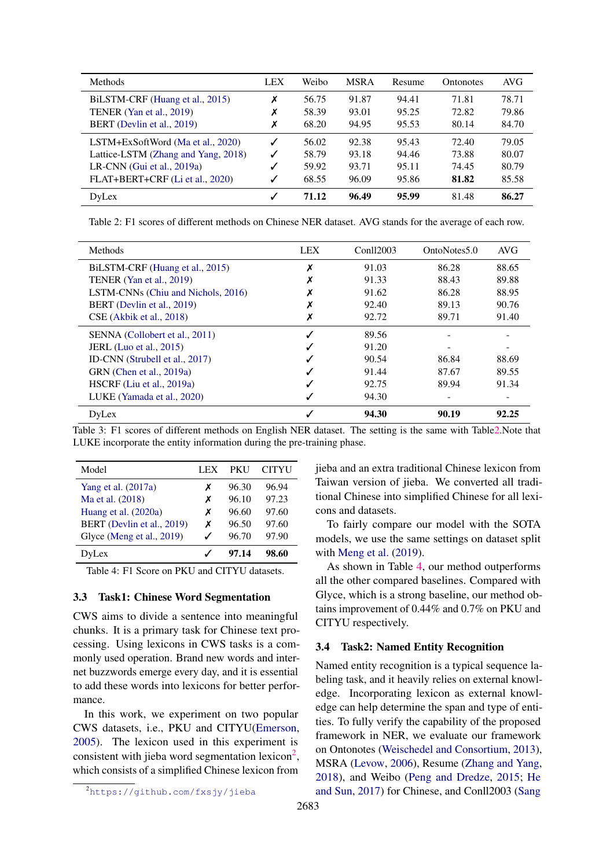<span id="page-4-0"></span>

| <b>Methods</b>                      | LEX | Weibo | <b>MSRA</b> | Resume | <b>Ontonotes</b> | AVG   |
|-------------------------------------|-----|-------|-------------|--------|------------------|-------|
| BiLSTM-CRF (Huang et al., 2015)     | Х   | 56.75 | 91.87       | 94.41  | 71.81            | 78.71 |
| TENER (Yan et al., 2019)            | Х   | 58.39 | 93.01       | 95.25  | 72.82            | 79.86 |
| BERT (Devlin et al., 2019)          | Х   | 68.20 | 94.95       | 95.53  | 80.14            | 84.70 |
| LSTM+ExSoftWord (Ma et al., 2020)   | ✓   | 56.02 | 92.38       | 95.43  | 72.40            | 79.05 |
| Lattice-LSTM (Zhang and Yang, 2018) | ✓   | 58.79 | 93.18       | 94.46  | 73.88            | 80.07 |
| LR-CNN (Gui et al., $2019a$ )       |     | 59.92 | 93.71       | 95.11  | 74.45            | 80.79 |
| FLAT+BERT+CRF (Li et al., 2020)     | ✓   | 68.55 | 96.09       | 95.86  | 81.82            | 85.58 |
| DyLex                               | J   | 71.12 | 96.49       | 95.99  | 81.48            | 86.27 |

Table 2: F1 scores of different methods on Chinese NER dataset. AVG stands for the average of each row.

<span id="page-4-3"></span>

| Methods                            | <b>LEX</b> | Conll2003 | OntoNotes5.0 | <b>AVG</b> |
|------------------------------------|------------|-----------|--------------|------------|
| BILSTM-CRF (Huang et al., 2015)    | х          | 91.03     | 86.28        | 88.65      |
| TENER (Yan et al., 2019)           |            | 91.33     | 88.43        | 89.88      |
| LSTM-CNNs (Chiu and Nichols, 2016) |            | 91.62     | 86.28        | 88.95      |
| BERT (Devlin et al., 2019)         |            | 92.40     | 89.13        | 90.76      |
| CSE (Akbik et al., 2018)           |            | 92.72     | 89.71        | 91.40      |
| SENNA (Collobert et al., 2011)     |            | 89.56     |              |            |
| <b>JERL</b> (Luo et al., 2015)     |            | 91.20     |              |            |
| ID-CNN (Strubell et al., 2017)     |            | 90.54     | 86.84        | 88.69      |
| GRN (Chen et al., 2019a)           |            | 91.44     | 87.67        | 89.55      |
| $HSCRF$ (Liu et al., 2019a)        |            | 92.75     | 89.94        | 91.34      |
| LUKE (Yamada et al., 2020)         |            | 94.30     |              |            |
| DyLex                              |            | 94.30     | 90.19        | 92.25      |

Table 3: F1 scores of different methods on English NER dataset. The setting is the same with Tabl[e2.](#page-4-0)Note that LUKE incorporate the entity information during the pre-training phase.

<span id="page-4-2"></span>

| Model                      | LEX | <b>PKU</b> | <b>CITYU</b> |
|----------------------------|-----|------------|--------------|
| Yang et al. $(2017a)$      | х   | 96.30      | 96.94        |
| Ma et al. (2018)           | х   | 96.10      | 97.23        |
| Huang et al. (2020a)       | х   | 96.60      | 97.60        |
| BERT (Devlin et al., 2019) | х   | 96.50      | 97.60        |
| Glyce (Meng et al., 2019)  |     | 96.70      | 97.90        |
| DvLex                      |     | 97.14      | 98.60        |

Table 4: F1 Score on PKU and CITYU datasets.

### 3.3 Task1: Chinese Word Segmentation

CWS aims to divide a sentence into meaningful chunks. It is a primary task for Chinese text processing. Using lexicons in CWS tasks is a commonly used operation. Brand new words and internet buzzwords emerge every day, and it is essential to add these words into lexicons for better performance.

In this work, we experiment on two popular CWS datasets, i.e., PKU and CITYU[\(Emerson,](#page-9-5) [2005\)](#page-9-5). The lexicon used in this experiment is consistent with jieba word segmentation lexicon<sup>[2](#page-4-1)</sup>, which consists of a simplified Chinese lexicon from

<span id="page-4-1"></span> $\overline{a_{\text{https://github.com/fxs/y/jieba}}}$ 

jieba and an extra traditional Chinese lexicon from Taiwan version of jieba. We converted all traditional Chinese into simplified Chinese for all lexicons and datasets.

To fairly compare our model with the SOTA models, we use the same settings on dataset split with [Meng et al.](#page-10-2) [\(2019\)](#page-10-2).

As shown in Table [4,](#page-4-2) our method outperforms all the other compared baselines. Compared with Glyce, which is a strong baseline, our method obtains improvement of 0.44% and 0.7% on PKU and CITYU respectively.

### 3.4 Task2: Named Entity Recognition

Named entity recognition is a typical sequence labeling task, and it heavily relies on external knowledge. Incorporating lexicon as external knowledge can help determine the span and type of entities. To fully verify the capability of the proposed framework in NER, we evaluate our framework on Ontonotes [\(Weischedel and Consortium,](#page-10-8) [2013\)](#page-10-8), MSRA [\(Levow,](#page-9-6) [2006\)](#page-9-6), Resume [\(Zhang and Yang,](#page-11-0) [2018\)](#page-11-0), and Weibo [\(Peng and Dredze,](#page-10-9) [2015;](#page-10-9) [He](#page-9-7) [and Sun,](#page-9-7) [2017\)](#page-9-7) for Chinese, and Conll2003 [\(Sang](#page-10-10)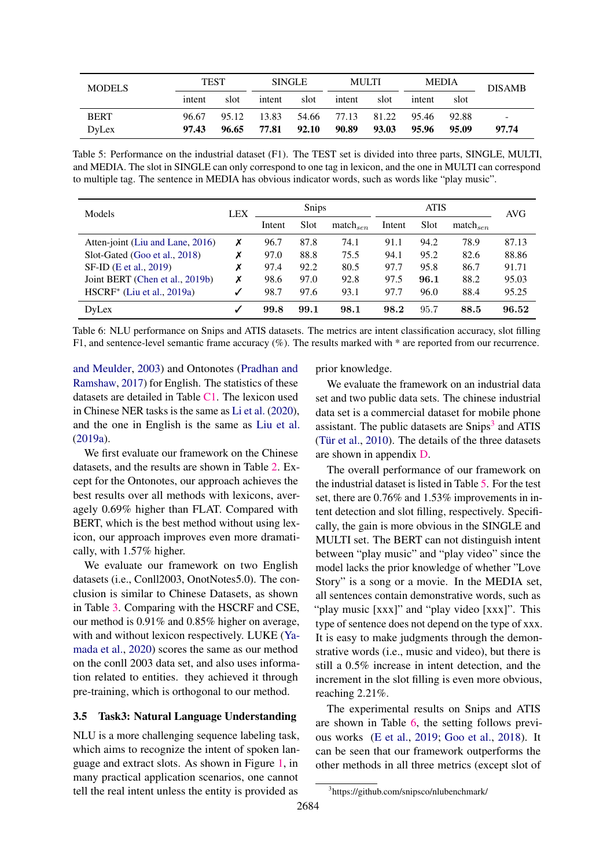<span id="page-5-1"></span>

| <b>MODELS</b> | TEST   |       | <b>SINGLE</b> |       |                   | MULTI | MEDIA  |       | <b>DISAMB</b>            |
|---------------|--------|-------|---------------|-------|-------------------|-------|--------|-------|--------------------------|
|               | intent | slot  | intent        | slot  | intent            | slot  | intent | slot  |                          |
| <b>BERT</b>   | 96.67  | 95.12 | 13.83         |       | 54.66 77.13 81.22 |       | 95.46  | 92.88 | $\overline{\phantom{a}}$ |
| DyLex         | 97.43  | 96.65 | 77.81         | 92.10 | 90.89             | 93.03 | 95.96  | 95.09 | 97.74                    |

Table 5: Performance on the industrial dataset (F1). The TEST set is divided into three parts, SINGLE, MULTI, and MEDIA. The slot in SINGLE can only correspond to one tag in lexicon, and the one in MULTI can correspond to multiple tag. The sentence in MEDIA has obvious indicator words, such as words like "play music".

<span id="page-5-2"></span>

| Models                           | <b>LEX</b> | <b>Snips</b> |      |               | <b>ATIS</b> |      |                      | AVG   |
|----------------------------------|------------|--------------|------|---------------|-------------|------|----------------------|-------|
|                                  |            | Intent       | Slot | $match_{sen}$ | Intent      | Slot | match <sub>sen</sub> |       |
| Atten-joint (Liu and Lane, 2016) | Х          | 96.7         | 87.8 | 74.1          | 91.1        | 94.2 | 78.9                 | 87.13 |
| Slot-Gated (Goo et al., 2018)    | Х          | 97.0         | 88.8 | 75.5          | 94.1        | 95.2 | 82.6                 | 88.86 |
| SF-ID (E et al., 2019)           | Х          | 97.4         | 92.2 | 80.5          | 97.7        | 95.8 | 86.7                 | 91.71 |
| Joint BERT (Chen et al., 2019b)  | х          | 98.6         | 97.0 | 92.8          | 97.5        | 96.1 | 88.2                 | 95.03 |
| $HSCRF^*$ (Liu et al., 2019a)    |            | 98.7         | 97.6 | 93.1          | 97.7        | 96.0 | 88.4                 | 95.25 |
| DyLex                            |            | 99.8         | 99.1 | 98.1          | 98.2        | 95.7 | 88.5                 | 96.52 |

Table 6: NLU performance on Snips and ATIS datasets. The metrics are intent classification accuracy, slot filling F1, and sentence-level semantic frame accuracy (%). The results marked with \* are reported from our recurrence.

[and Meulder,](#page-10-10) [2003\)](#page-10-10) and Ontonotes [\(Pradhan and](#page-10-11) [Ramshaw,](#page-10-11) [2017\)](#page-10-11) for English. The statistics of these datasets are detailed in Table [C1.](#page-13-1) The lexicon used in Chinese NER tasks is the same as [Li et al.](#page-9-0) [\(2020\)](#page-9-0), and the one in English is the same as [Liu et al.](#page-9-1) [\(2019a\)](#page-9-1).

We first evaluate our framework on the Chinese datasets, and the results are shown in Table [2.](#page-4-0) Except for the Ontonotes, our approach achieves the best results over all methods with lexicons, averagely 0.69% higher than FLAT. Compared with BERT, which is the best method without using lexicon, our approach improves even more dramatically, with 1.57% higher.

We evaluate our framework on two English datasets (i.e., Conll2003, OnotNotes5.0). The conclusion is similar to Chinese Datasets, as shown in Table [3.](#page-4-3) Comparing with the HSCRF and CSE, our method is 0.91% and 0.85% higher on average, with and without lexicon respectively. LUKE [\(Ya](#page-10-6)[mada et al.,](#page-10-6) [2020\)](#page-10-6) scores the same as our method on the conll 2003 data set, and also uses information related to entities. they achieved it through pre-training, which is orthogonal to our method.

# 3.5 Task3: Natural Language Understanding

NLU is a more challenging sequence labeling task, which aims to recognize the intent of spoken language and extract slots. As shown in Figure [1,](#page-0-1) in many practical application scenarios, one cannot tell the real intent unless the entity is provided as

prior knowledge.

We evaluate the framework on an industrial data set and two public data sets. The chinese industrial data set is a commercial dataset for mobile phone assistant. The public datasets are Snips<sup>[3](#page-5-0)</sup> and ATIS [\(Tür et al.,](#page-10-12) [2010\)](#page-10-12). The details of the three datasets are shown in appendix [D.](#page-13-2)

The overall performance of our framework on the industrial dataset is listed in Table [5.](#page-5-1) For the test set, there are 0.76% and 1.53% improvements in intent detection and slot filling, respectively. Specifically, the gain is more obvious in the SINGLE and MULTI set. The BERT can not distinguish intent between "play music" and "play video" since the model lacks the prior knowledge of whether "Love Story" is a song or a movie. In the MEDIA set, all sentences contain demonstrative words, such as "play music [xxx]" and "play video [xxx]". This type of sentence does not depend on the type of xxx. It is easy to make judgments through the demonstrative words (i.e., music and video), but there is still a 0.5% increase in intent detection, and the increment in the slot filling is even more obvious, reaching 2.21%.

The experimental results on Snips and ATIS are shown in Table [6,](#page-5-2) the setting follows previous works [\(E et al.,](#page-9-10) [2019;](#page-9-10) [Goo et al.,](#page-9-9) [2018\)](#page-9-9). It can be seen that our framework outperforms the other methods in all three metrics (except slot of

<span id="page-5-0"></span><sup>3</sup> https://github.com/snipsco/nlubenchmark/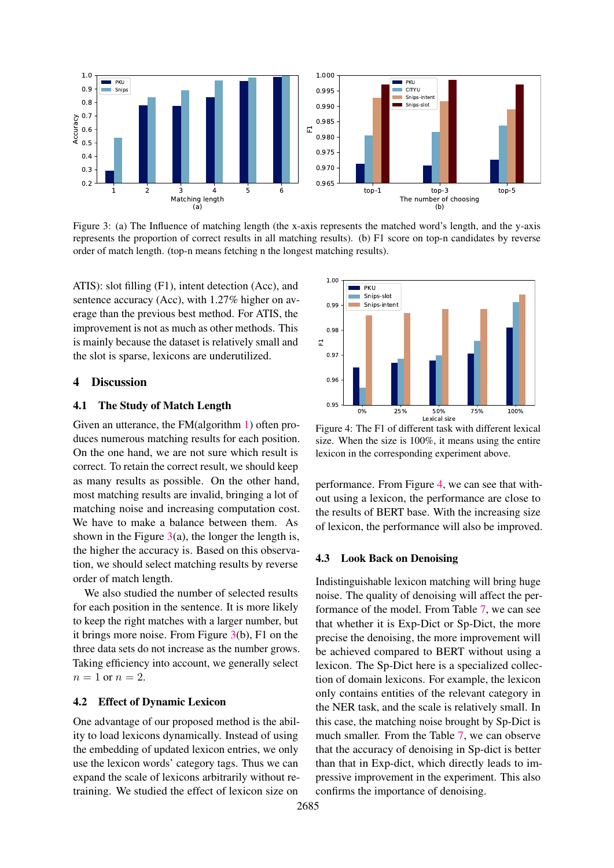<span id="page-6-0"></span>

Figure 3: (a) The Influence of matching length (the x-axis represents the matched word's length, and the y-axis represents the proportion of correct results in all matching results). (b) F1 score on top-n candidates by reverse order of match length. (top-n means fetching n the longest matching results).

ATIS): slot filling (F1), intent detection (Acc), and sentence accuracy (Acc), with 1.27% higher on average than the previous best method. For ATIS, the improvement is not as much as other methods. This is mainly because the dataset is relatively small and the slot is sparse, lexicons are underutilized.

### 4 Discussion

### 4.1 The Study of Match Length

Given an utterance, the FM(algorithm [1\)](#page-1-0) often produces numerous matching results for each position. On the one hand, we are not sure which result is correct. To retain the correct result, we should keep as many results as possible. On the other hand, most matching results are invalid, bringing a lot of matching noise and increasing computation cost. We have to make a balance between them. As shown in the Figure  $3(a)$  $3(a)$ , the longer the length is, the higher the accuracy is. Based on this observation, we should select matching results by reverse order of match length.

We also studied the number of selected results for each position in the sentence. It is more likely to keep the right matches with a larger number, but it brings more noise. From Figure [3\(](#page-6-0)b), F1 on the three data sets do not increase as the number grows. Taking efficiency into account, we generally select  $n=1$  or  $n=2$ .

#### 4.2 Effect of Dynamic Lexicon

One advantage of our proposed method is the ability to load lexicons dynamically. Instead of using the embedding of updated lexicon entries, we only use the lexicon words' category tags. Thus we can expand the scale of lexicons arbitrarily without retraining. We studied the effect of lexicon size on

<span id="page-6-1"></span>

Figure 4: The F1 of different task with different lexical size. When the size is 100%, it means using the entire lexicon in the corresponding experiment above.

performance. From Figure [4,](#page-6-1) we can see that without using a lexicon, the performance are close to the results of BERT base. With the increasing size of lexicon, the performance will also be improved.

### 4.3 Look Back on Denoising

Indistinguishable lexicon matching will bring huge noise. The quality of denoising will affect the performance of the model. From Table [7,](#page-7-0) we can see that whether it is Exp-Dict or Sp-Dict, the more precise the denoising, the more improvement will be achieved compared to BERT without using a lexicon. The Sp-Dict here is a specialized collection of domain lexicons. For example, the lexicon only contains entities of the relevant category in the NER task, and the scale is relatively small. In this case, the matching noise brought by Sp-Dict is much smaller. From the Table [7,](#page-7-0) we can observe that the accuracy of denoising in Sp-dict is better than that in Exp-dict, which directly leads to impressive improvement in the experiment. This also confirms the importance of denoising.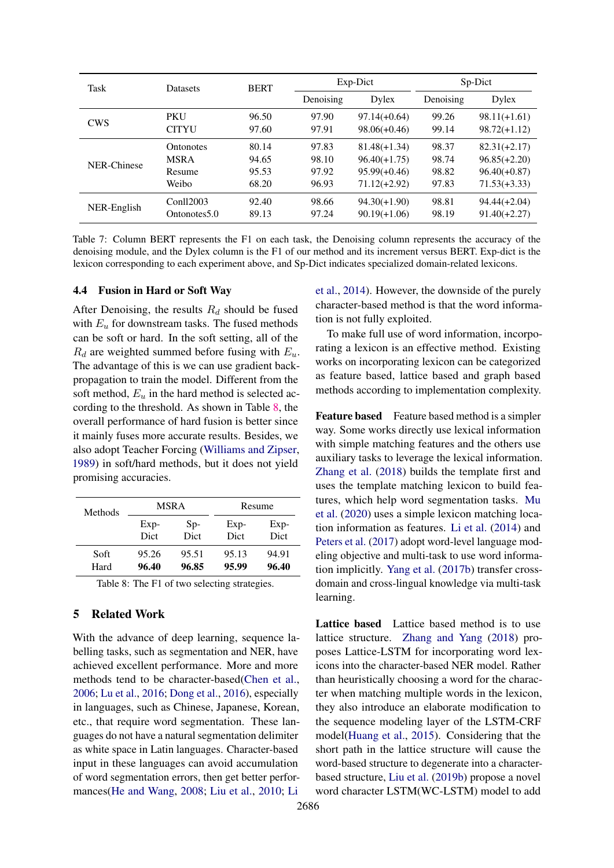<span id="page-7-0"></span>

| Task        | <b>Datasets</b>          | <b>BERT</b> |           | Exp-Dict       | Sp-Dict   |                |  |
|-------------|--------------------------|-------------|-----------|----------------|-----------|----------------|--|
|             |                          |             | Denoising | Dylex          | Denoising | Dylex          |  |
| <b>CWS</b>  | PKU                      | 96.50       | 97.90     | $97.14(+0.64)$ | 99.26     | $98.11(+1.61)$ |  |
|             | <b>CITYU</b>             | 97.60       | 97.91     | $98.06(+0.46)$ | 99.14     | $98.72(+1.12)$ |  |
|             | <b>Ontonotes</b>         | 80.14       | 97.83     | $81.48(+1.34)$ | 98.37     | $82.31(+2.17)$ |  |
| NER-Chinese | <b>MSRA</b>              | 94.65       | 98.10     | $96.40(+1.75)$ | 98.74     | $96.85(+2.20)$ |  |
|             | Resume                   | 95.53       | 97.92     | $95.99(+0.46)$ | 98.82     | $96.40(+0.87)$ |  |
|             | Weibo                    | 68.20       | 96.93     | $71.12(+2.92)$ | 97.83     | $71.53(+3.33)$ |  |
|             | Conll2003                | 92.40       | 98.66     | $94.30(+1.90)$ | 98.81     | $94.44(+2.04)$ |  |
| NER-English | Ontonotes <sub>5.0</sub> | 89.13       | 97.24     | $90.19(+1.06)$ | 98.19     | $91.40(+2.27)$ |  |

Table 7: Column BERT represents the F1 on each task, the Denoising column represents the accuracy of the denoising module, and the Dylex column is the F1 of our method and its increment versus BERT. Exp-dict is the lexicon corresponding to each experiment above, and Sp-Dict indicates specialized domain-related lexicons.

### 4.4 Fusion in Hard or Soft Way

After Denoising, the results  $R_d$  should be fused with  $E_u$  for downstream tasks. The fused methods can be soft or hard. In the soft setting, all of the  $R_d$  are weighted summed before fusing with  $E_u$ . The advantage of this is we can use gradient backpropagation to train the model. Different from the soft method,  $E_u$  in the hard method is selected according to the threshold. As shown in Table [8,](#page-7-1) the overall performance of hard fusion is better since it mainly fuses more accurate results. Besides, we also adopt Teacher Forcing [\(Williams and Zipser,](#page-10-13) [1989\)](#page-10-13) in soft/hard methods, but it does not yield promising accuracies.

<span id="page-7-1"></span>

| Methods |        | MSRA  | Resume |        |  |
|---------|--------|-------|--------|--------|--|
|         | $Exp-$ | $Sp-$ | $Exp-$ | $Exp-$ |  |
|         | Dict   | Dict  | Dict   | Dict   |  |
| Soft    | 95.26  | 95.51 | 95.13  | 94.91  |  |
| Hard    | 96.40  | 96.85 | 95.99  | 96.40  |  |

Table 8: The F1 of two selecting strategies.

### 5 Related Work

With the advance of deep learning, sequence labelling tasks, such as segmentation and NER, have achieved excellent performance. More and more methods tend to be character-based[\(Chen et al.,](#page-8-8) [2006;](#page-8-8) [Lu et al.,](#page-10-14) [2016;](#page-10-14) [Dong et al.,](#page-8-9) [2016\)](#page-8-9), especially in languages, such as Chinese, Japanese, Korean, etc., that require word segmentation. These languages do not have a natural segmentation delimiter as white space in Latin languages. Character-based input in these languages can avoid accumulation of word segmentation errors, then get better performances[\(He and Wang,](#page-9-11) [2008;](#page-9-11) [Liu et al.,](#page-10-15) [2010;](#page-10-15) [Li](#page-9-12)

[et al.,](#page-9-12) [2014\)](#page-9-12). However, the downside of the purely character-based method is that the word information is not fully exploited.

To make full use of word information, incorporating a lexicon is an effective method. Existing works on incorporating lexicon can be categorized as feature based, lattice based and graph based methods according to implementation complexity.

Feature based Feature based method is a simpler way. Some works directly use lexical information with simple matching features and the others use auxiliary tasks to leverage the lexical information. [Zhang et al.](#page-11-3) [\(2018\)](#page-11-3) builds the template first and uses the template matching lexicon to build features, which help word segmentation tasks. [Mu](#page-10-0) [et al.](#page-10-0) [\(2020\)](#page-10-0) uses a simple lexicon matching location information as features. [Li et al.](#page-9-12) [\(2014\)](#page-9-12) and [Peters et al.](#page-10-16) [\(2017\)](#page-10-16) adopt word-level language modeling objective and multi-task to use word information implicitly. [Yang et al.](#page-11-4) [\(2017b\)](#page-11-4) transfer crossdomain and cross-lingual knowledge via multi-task learning.

Lattice based Lattice based method is to use lattice structure. [Zhang and Yang](#page-11-0) [\(2018\)](#page-11-0) proposes Lattice-LSTM for incorporating word lexicons into the character-based NER model. Rather than heuristically choosing a word for the character when matching multiple words in the lexicon, they also introduce an elaborate modification to the sequence modeling layer of the LSTM-CRF model[\(Huang et al.,](#page-9-2) [2015\)](#page-9-2). Considering that the short path in the lattice structure will cause the word-based structure to degenerate into a characterbased structure, [Liu et al.](#page-9-13) [\(2019b\)](#page-9-13) propose a novel word character LSTM(WC-LSTM) model to add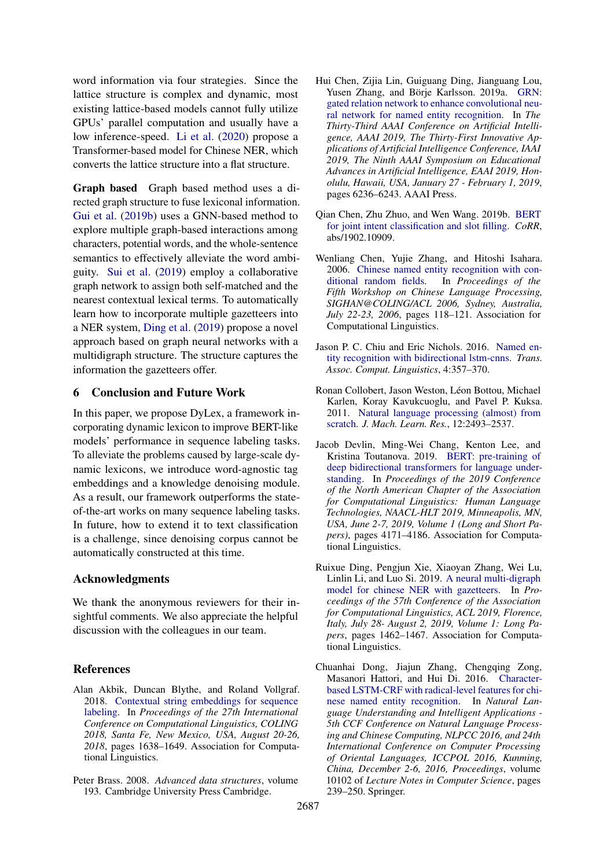word information via four strategies. Since the lattice structure is complex and dynamic, most existing lattice-based models cannot fully utilize GPUs' parallel computation and usually have a low inference-speed. [Li et al.](#page-9-0) [\(2020\)](#page-9-0) propose a Transformer-based model for Chinese NER, which converts the lattice structure into a flat structure.

Graph based Graph based method uses a directed graph structure to fuse lexiconal information. [Gui et al.](#page-9-14) [\(2019b\)](#page-9-14) uses a GNN-based method to explore multiple graph-based interactions among characters, potential words, and the whole-sentence semantics to effectively alleviate the word ambiguity. [Sui et al.](#page-10-17) [\(2019\)](#page-10-17) employ a collaborative graph network to assign both self-matched and the nearest contextual lexical terms. To automatically learn how to incorporate multiple gazetteers into a NER system, [Ding et al.](#page-8-0) [\(2019\)](#page-8-0) propose a novel approach based on graph neural networks with a multidigraph structure. The structure captures the information the gazetteers offer.

### 6 Conclusion and Future Work

In this paper, we propose DyLex, a framework incorporating dynamic lexicon to improve BERT-like models' performance in sequence labeling tasks. To alleviate the problems caused by large-scale dynamic lexicons, we introduce word-agnostic tag embeddings and a knowledge denoising module. As a result, our framework outperforms the stateof-the-art works on many sequence labeling tasks. In future, how to extend it to text classification is a challenge, since denoising corpus cannot be automatically constructed at this time.

### Acknowledgments

We thank the anonymous reviewers for their insightful comments. We also appreciate the helpful discussion with the colleagues in our team.

#### References

- <span id="page-8-4"></span>Alan Akbik, Duncan Blythe, and Roland Vollgraf. 2018. [Contextual string embeddings for sequence](https://aclanthology.org/C18-1139/) [labeling.](https://aclanthology.org/C18-1139/) In *Proceedings of the 27th International Conference on Computational Linguistics, COLING 2018, Santa Fe, New Mexico, USA, August 20-26, 2018*, pages 1638–1649. Association for Computational Linguistics.
- <span id="page-8-2"></span>Peter Brass. 2008. *Advanced data structures*, volume 193. Cambridge University Press Cambridge.
- <span id="page-8-6"></span>Hui Chen, Zijia Lin, Guiguang Ding, Jianguang Lou, Yusen Zhang, and Börje Karlsson. 2019a. [GRN:](https://doi.org/10.1609/aaai.v33i01.33016236) [gated relation network to enhance convolutional neu](https://doi.org/10.1609/aaai.v33i01.33016236)[ral network for named entity recognition.](https://doi.org/10.1609/aaai.v33i01.33016236) In *The Thirty-Third AAAI Conference on Artificial Intelligence, AAAI 2019, The Thirty-First Innovative Applications of Artificial Intelligence Conference, IAAI 2019, The Ninth AAAI Symposium on Educational Advances in Artificial Intelligence, EAAI 2019, Honolulu, Hawaii, USA, January 27 - February 1, 2019*, pages 6236–6243. AAAI Press.
- <span id="page-8-7"></span>Qian Chen, Zhu Zhuo, and Wen Wang. 2019b. [BERT](http://arxiv.org/abs/1902.10909) [for joint intent classification and slot filling.](http://arxiv.org/abs/1902.10909) *CoRR*, abs/1902.10909.
- <span id="page-8-8"></span>Wenliang Chen, Yujie Zhang, and Hitoshi Isahara. 2006. [Chinese named entity recognition with con](https://aclanthology.org/W06-0116/)[ditional random fields.](https://aclanthology.org/W06-0116/) In *Proceedings of the Fifth Workshop on Chinese Language Processing, SIGHAN@COLING/ACL 2006, Sydney, Australia, July 22-23, 2006*, pages 118–121. Association for Computational Linguistics.
- <span id="page-8-3"></span>Jason P. C. Chiu and Eric Nichols. 2016. [Named en](https://transacl.org/ojs/index.php/tacl/article/view/792)[tity recognition with bidirectional lstm-cnns.](https://transacl.org/ojs/index.php/tacl/article/view/792) *Trans. Assoc. Comput. Linguistics*, 4:357–370.
- <span id="page-8-5"></span>Ronan Collobert, Jason Weston, Léon Bottou, Michael Karlen, Koray Kavukcuoglu, and Pavel P. Kuksa. 2011. [Natural language processing \(almost\) from](http://dl.acm.org/citation.cfm?id=2078186) [scratch.](http://dl.acm.org/citation.cfm?id=2078186) *J. Mach. Learn. Res.*, 12:2493–2537.
- <span id="page-8-1"></span>Jacob Devlin, Ming-Wei Chang, Kenton Lee, and Kristina Toutanova. 2019. [BERT: pre-training of](https://doi.org/10.18653/v1/n19-1423) [deep bidirectional transformers for language under](https://doi.org/10.18653/v1/n19-1423)[standing.](https://doi.org/10.18653/v1/n19-1423) In *Proceedings of the 2019 Conference of the North American Chapter of the Association for Computational Linguistics: Human Language Technologies, NAACL-HLT 2019, Minneapolis, MN, USA, June 2-7, 2019, Volume 1 (Long and Short Papers)*, pages 4171–4186. Association for Computational Linguistics.
- <span id="page-8-0"></span>Ruixue Ding, Pengjun Xie, Xiaoyan Zhang, Wei Lu, Linlin Li, and Luo Si. 2019. [A neural multi-digraph](https://doi.org/10.18653/v1/p19-1141) [model for chinese NER with gazetteers.](https://doi.org/10.18653/v1/p19-1141) In *Proceedings of the 57th Conference of the Association for Computational Linguistics, ACL 2019, Florence, Italy, July 28- August 2, 2019, Volume 1: Long Papers*, pages 1462–1467. Association for Computational Linguistics.
- <span id="page-8-9"></span>Chuanhai Dong, Jiajun Zhang, Chengqing Zong, Masanori Hattori, and Hui Di. 2016. [Character](https://doi.org/10.1007/978-3-319-50496-4_20)[based LSTM-CRF with radical-level features for chi](https://doi.org/10.1007/978-3-319-50496-4_20)[nese named entity recognition.](https://doi.org/10.1007/978-3-319-50496-4_20) In *Natural Language Understanding and Intelligent Applications - 5th CCF Conference on Natural Language Processing and Chinese Computing, NLPCC 2016, and 24th International Conference on Computer Processing of Oriental Languages, ICCPOL 2016, Kunming, China, December 2-6, 2016, Proceedings*, volume 10102 of *Lecture Notes in Computer Science*, pages 239–250. Springer.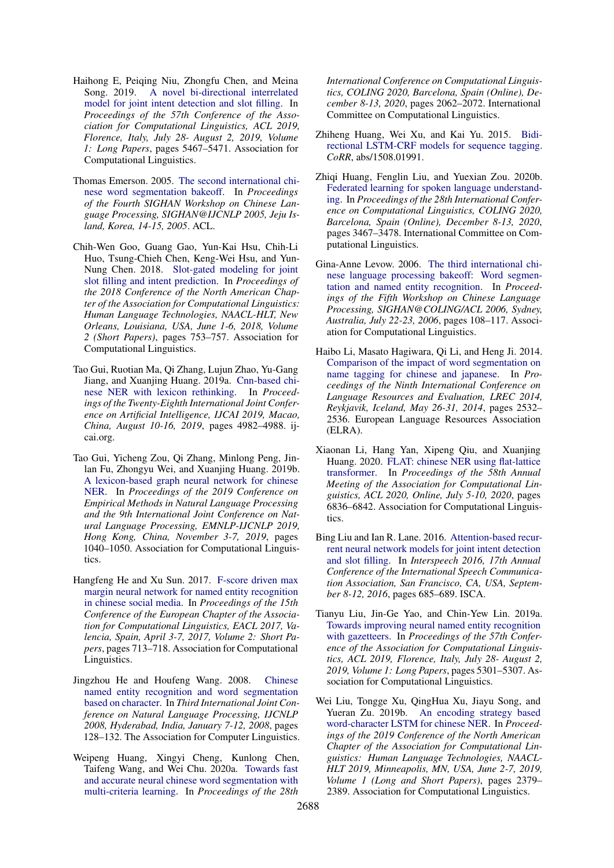- <span id="page-9-10"></span>Haihong E, Peiqing Niu, Zhongfu Chen, and Meina Song. 2019. [A novel bi-directional interrelated](https://doi.org/10.18653/v1/p19-1544) [model for joint intent detection and slot filling.](https://doi.org/10.18653/v1/p19-1544) In *Proceedings of the 57th Conference of the Association for Computational Linguistics, ACL 2019, Florence, Italy, July 28- August 2, 2019, Volume 1: Long Papers*, pages 5467–5471. Association for Computational Linguistics.
- <span id="page-9-5"></span>Thomas Emerson. 2005. [The second international chi](https://aclanthology.org/I05-3017/)[nese word segmentation bakeoff.](https://aclanthology.org/I05-3017/) In *Proceedings of the Fourth SIGHAN Workshop on Chinese Language Processing, SIGHAN@IJCNLP 2005, Jeju Island, Korea, 14-15, 2005*. ACL.
- <span id="page-9-9"></span>Chih-Wen Goo, Guang Gao, Yun-Kai Hsu, Chih-Li Huo, Tsung-Chieh Chen, Keng-Wei Hsu, and Yun-Nung Chen. 2018. [Slot-gated modeling for joint](https://doi.org/10.18653/v1/n18-2118) [slot filling and intent prediction.](https://doi.org/10.18653/v1/n18-2118) In *Proceedings of the 2018 Conference of the North American Chapter of the Association for Computational Linguistics: Human Language Technologies, NAACL-HLT, New Orleans, Louisiana, USA, June 1-6, 2018, Volume 2 (Short Papers)*, pages 753–757. Association for Computational Linguistics.
- <span id="page-9-3"></span>Tao Gui, Ruotian Ma, Qi Zhang, Lujun Zhao, Yu-Gang Jiang, and Xuanjing Huang. 2019a. [Cnn-based chi](https://doi.org/10.24963/ijcai.2019/692)[nese NER with lexicon rethinking.](https://doi.org/10.24963/ijcai.2019/692) In *Proceedings of the Twenty-Eighth International Joint Conference on Artificial Intelligence, IJCAI 2019, Macao, China, August 10-16, 2019*, pages 4982–4988. ijcai.org.
- <span id="page-9-14"></span>Tao Gui, Yicheng Zou, Qi Zhang, Minlong Peng, Jinlan Fu, Zhongyu Wei, and Xuanjing Huang. 2019b. [A lexicon-based graph neural network for chinese](https://doi.org/10.18653/v1/D19-1096) [NER.](https://doi.org/10.18653/v1/D19-1096) In *Proceedings of the 2019 Conference on Empirical Methods in Natural Language Processing and the 9th International Joint Conference on Natural Language Processing, EMNLP-IJCNLP 2019, Hong Kong, China, November 3-7, 2019*, pages 1040–1050. Association for Computational Linguistics.
- <span id="page-9-7"></span>Hangfeng He and Xu Sun. 2017. [F-score driven max](https://doi.org/10.18653/v1/e17-2113) [margin neural network for named entity recognition](https://doi.org/10.18653/v1/e17-2113) [in chinese social media.](https://doi.org/10.18653/v1/e17-2113) In *Proceedings of the 15th Conference of the European Chapter of the Association for Computational Linguistics, EACL 2017, Valencia, Spain, April 3-7, 2017, Volume 2: Short Papers*, pages 713–718. Association for Computational Linguistics.
- <span id="page-9-11"></span>Jingzhou He and Houfeng Wang. 2008. [Chinese](https://aclanthology.org/I08-4022/) [named entity recognition and word segmentation](https://aclanthology.org/I08-4022/) [based on character.](https://aclanthology.org/I08-4022/) In *Third International Joint Conference on Natural Language Processing, IJCNLP 2008, Hyderabad, India, January 7-12, 2008*, pages 128–132. The Association for Computer Linguistics.
- <span id="page-9-4"></span>Weipeng Huang, Xingyi Cheng, Kunlong Chen, Taifeng Wang, and Wei Chu. 2020a. [Towards fast](https://doi.org/10.18653/v1/2020.coling-main.186) [and accurate neural chinese word segmentation with](https://doi.org/10.18653/v1/2020.coling-main.186) [multi-criteria learning.](https://doi.org/10.18653/v1/2020.coling-main.186) In *Proceedings of the 28th*

*International Conference on Computational Linguistics, COLING 2020, Barcelona, Spain (Online), December 8-13, 2020*, pages 2062–2072. International Committee on Computational Linguistics.

- <span id="page-9-2"></span>Zhiheng Huang, Wei Xu, and Kai Yu. 2015. [Bidi](http://arxiv.org/abs/1508.01991)[rectional LSTM-CRF models for sequence tagging.](http://arxiv.org/abs/1508.01991) *CoRR*, abs/1508.01991.
- Zhiqi Huang, Fenglin Liu, and Yuexian Zou. 2020b. [Federated learning for spoken language understand](https://doi.org/10.18653/v1/2020.coling-main.310)[ing.](https://doi.org/10.18653/v1/2020.coling-main.310) In *Proceedings of the 28th International Conference on Computational Linguistics, COLING 2020, Barcelona, Spain (Online), December 8-13, 2020*, pages 3467–3478. International Committee on Computational Linguistics.
- <span id="page-9-6"></span>Gina-Anne Levow. 2006. [The third international chi](https://aclanthology.org/W06-0115/)[nese language processing bakeoff: Word segmen](https://aclanthology.org/W06-0115/)[tation and named entity recognition.](https://aclanthology.org/W06-0115/) In *Proceedings of the Fifth Workshop on Chinese Language Processing, SIGHAN@COLING/ACL 2006, Sydney, Australia, July 22-23, 2006*, pages 108–117. Association for Computational Linguistics.
- <span id="page-9-12"></span>Haibo Li, Masato Hagiwara, Qi Li, and Heng Ji. 2014. [Comparison of the impact of word segmentation on](http://www.lrec-conf.org/proceedings/lrec2014/summaries/358.html) [name tagging for chinese and japanese.](http://www.lrec-conf.org/proceedings/lrec2014/summaries/358.html) In *Proceedings of the Ninth International Conference on Language Resources and Evaluation, LREC 2014, Reykjavik, Iceland, May 26-31, 2014*, pages 2532– 2536. European Language Resources Association (ELRA).
- <span id="page-9-0"></span>Xiaonan Li, Hang Yan, Xipeng Qiu, and Xuanjing Huang. 2020. [FLAT: chinese NER using flat-lattice](https://doi.org/10.18653/v1/2020.acl-main.611) [transformer.](https://doi.org/10.18653/v1/2020.acl-main.611) In *Proceedings of the 58th Annual Meeting of the Association for Computational Linguistics, ACL 2020, Online, July 5-10, 2020*, pages 6836–6842. Association for Computational Linguistics.
- <span id="page-9-8"></span>Bing Liu and Ian R. Lane. 2016. [Attention-based recur](https://doi.org/10.21437/Interspeech.2016-1352)[rent neural network models for joint intent detection](https://doi.org/10.21437/Interspeech.2016-1352) [and slot filling.](https://doi.org/10.21437/Interspeech.2016-1352) In *Interspeech 2016, 17th Annual Conference of the International Speech Communication Association, San Francisco, CA, USA, September 8-12, 2016*, pages 685–689. ISCA.
- <span id="page-9-1"></span>Tianyu Liu, Jin-Ge Yao, and Chin-Yew Lin. 2019a. [Towards improving neural named entity recognition](https://doi.org/10.18653/v1/p19-1524) [with gazetteers.](https://doi.org/10.18653/v1/p19-1524) In *Proceedings of the 57th Conference of the Association for Computational Linguistics, ACL 2019, Florence, Italy, July 28- August 2, 2019, Volume 1: Long Papers*, pages 5301–5307. Association for Computational Linguistics.
- <span id="page-9-13"></span>Wei Liu, Tongge Xu, QingHua Xu, Jiayu Song, and Yueran Zu. 2019b. [An encoding strategy based](https://doi.org/10.18653/v1/n19-1247) [word-character LSTM for chinese NER.](https://doi.org/10.18653/v1/n19-1247) In *Proceedings of the 2019 Conference of the North American Chapter of the Association for Computational Linguistics: Human Language Technologies, NAACL-HLT 2019, Minneapolis, MN, USA, June 2-7, 2019, Volume 1 (Long and Short Papers)*, pages 2379– 2389. Association for Computational Linguistics.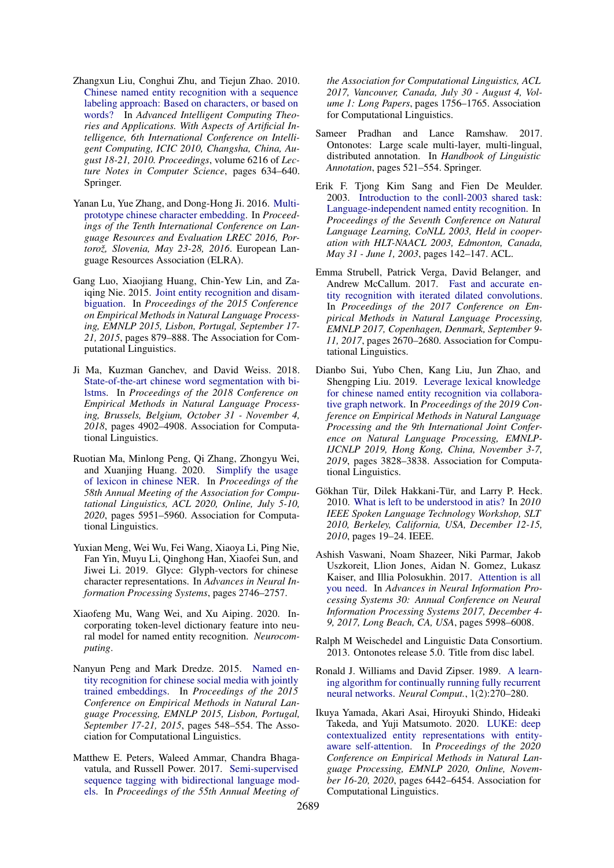- <span id="page-10-15"></span>Zhangxun Liu, Conghui Zhu, and Tiejun Zhao. 2010. [Chinese named entity recognition with a sequence](https://doi.org/10.1007/978-3-642-14932-0_78) [labeling approach: Based on characters, or based on](https://doi.org/10.1007/978-3-642-14932-0_78) [words?](https://doi.org/10.1007/978-3-642-14932-0_78) In *Advanced Intelligent Computing Theories and Applications. With Aspects of Artificial Intelligence, 6th International Conference on Intelligent Computing, ICIC 2010, Changsha, China, August 18-21, 2010. Proceedings*, volume 6216 of *Lecture Notes in Computer Science*, pages 634–640. Springer.
- <span id="page-10-14"></span>Yanan Lu, Yue Zhang, and Dong-Hong Ji. 2016. [Multi](http://www.lrec-conf.org/proceedings/lrec2016/summaries/612.html)[prototype chinese character embedding.](http://www.lrec-conf.org/proceedings/lrec2016/summaries/612.html) In *Proceedings of the Tenth International Conference on Language Resources and Evaluation LREC 2016, Portorož, Slovenia, May 23-28, 2016*. European Language Resources Association (ELRA).
- <span id="page-10-4"></span>Gang Luo, Xiaojiang Huang, Chin-Yew Lin, and Zaiqing Nie. 2015. [Joint entity recognition and disam](https://doi.org/10.18653/v1/d15-1104)[biguation.](https://doi.org/10.18653/v1/d15-1104) In *Proceedings of the 2015 Conference on Empirical Methods in Natural Language Processing, EMNLP 2015, Lisbon, Portugal, September 17- 21, 2015*, pages 879–888. The Association for Computational Linguistics.
- <span id="page-10-7"></span>Ji Ma, Kuzman Ganchev, and David Weiss. 2018. [State-of-the-art chinese word segmentation with bi](https://doi.org/10.18653/v1/d18-1529)[lstms.](https://doi.org/10.18653/v1/d18-1529) In *Proceedings of the 2018 Conference on Empirical Methods in Natural Language Processing, Brussels, Belgium, October 31 - November 4, 2018*, pages 4902–4908. Association for Computational Linguistics.
- <span id="page-10-3"></span>Ruotian Ma, Minlong Peng, Qi Zhang, Zhongyu Wei, and Xuanjing Huang. 2020. [Simplify the usage](https://doi.org/10.18653/v1/2020.acl-main.528) [of lexicon in chinese NER.](https://doi.org/10.18653/v1/2020.acl-main.528) In *Proceedings of the 58th Annual Meeting of the Association for Computational Linguistics, ACL 2020, Online, July 5-10, 2020*, pages 5951–5960. Association for Computational Linguistics.
- <span id="page-10-2"></span>Yuxian Meng, Wei Wu, Fei Wang, Xiaoya Li, Ping Nie, Fan Yin, Muyu Li, Qinghong Han, Xiaofei Sun, and Jiwei Li. 2019. Glyce: Glyph-vectors for chinese character representations. In *Advances in Neural Information Processing Systems*, pages 2746–2757.
- <span id="page-10-0"></span>Xiaofeng Mu, Wang Wei, and Xu Aiping. 2020. Incorporating token-level dictionary feature into neural model for named entity recognition. *Neurocomputing*.
- <span id="page-10-9"></span>Nanyun Peng and Mark Dredze. 2015. [Named en](https://doi.org/10.18653/v1/d15-1064)[tity recognition for chinese social media with jointly](https://doi.org/10.18653/v1/d15-1064) [trained embeddings.](https://doi.org/10.18653/v1/d15-1064) In *Proceedings of the 2015 Conference on Empirical Methods in Natural Language Processing, EMNLP 2015, Lisbon, Portugal, September 17-21, 2015*, pages 548–554. The Association for Computational Linguistics.
- <span id="page-10-16"></span>Matthew E. Peters, Waleed Ammar, Chandra Bhagavatula, and Russell Power. 2017. [Semi-supervised](https://doi.org/10.18653/v1/P17-1161) [sequence tagging with bidirectional language mod](https://doi.org/10.18653/v1/P17-1161)[els.](https://doi.org/10.18653/v1/P17-1161) In *Proceedings of the 55th Annual Meeting of*

*the Association for Computational Linguistics, ACL 2017, Vancouver, Canada, July 30 - August 4, Volume 1: Long Papers*, pages 1756–1765. Association for Computational Linguistics.

- <span id="page-10-11"></span>Sameer Pradhan and Lance Ramshaw. 2017. Ontonotes: Large scale multi-layer, multi-lingual, distributed annotation. In *Handbook of Linguistic Annotation*, pages 521–554. Springer.
- <span id="page-10-10"></span>Erik F. Tjong Kim Sang and Fien De Meulder. 2003. [Introduction to the conll-2003 shared task:](https://aclanthology.org/W03-0419/) [Language-independent named entity recognition.](https://aclanthology.org/W03-0419/) In *Proceedings of the Seventh Conference on Natural Language Learning, CoNLL 2003, Held in cooperation with HLT-NAACL 2003, Edmonton, Canada, May 31 - June 1, 2003*, pages 142–147. ACL.
- <span id="page-10-5"></span>Emma Strubell, Patrick Verga, David Belanger, and Andrew McCallum. 2017. [Fast and accurate en](https://doi.org/10.18653/v1/d17-1283)[tity recognition with iterated dilated convolutions.](https://doi.org/10.18653/v1/d17-1283) In *Proceedings of the 2017 Conference on Empirical Methods in Natural Language Processing, EMNLP 2017, Copenhagen, Denmark, September 9- 11, 2017*, pages 2670–2680. Association for Computational Linguistics.
- <span id="page-10-17"></span>Dianbo Sui, Yubo Chen, Kang Liu, Jun Zhao, and Shengping Liu. 2019. [Leverage lexical knowledge](https://doi.org/10.18653/v1/D19-1396) [for chinese named entity recognition via collabora](https://doi.org/10.18653/v1/D19-1396)[tive graph network.](https://doi.org/10.18653/v1/D19-1396) In *Proceedings of the 2019 Conference on Empirical Methods in Natural Language Processing and the 9th International Joint Conference on Natural Language Processing, EMNLP-IJCNLP 2019, Hong Kong, China, November 3-7, 2019*, pages 3828–3838. Association for Computational Linguistics.
- <span id="page-10-12"></span>Gökhan Tür, Dilek Hakkani-Tür, and Larry P. Heck. 2010. [What is left to be understood in atis?](https://doi.org/10.1109/SLT.2010.5700816) In *2010 IEEE Spoken Language Technology Workshop, SLT 2010, Berkeley, California, USA, December 12-15, 2010*, pages 19–24. IEEE.
- <span id="page-10-1"></span>Ashish Vaswani, Noam Shazeer, Niki Parmar, Jakob Uszkoreit, Llion Jones, Aidan N. Gomez, Lukasz Kaiser, and Illia Polosukhin. 2017. [Attention is all](https://proceedings.neurips.cc/paper/2017/hash/3f5ee243547dee91fbd053c1c4a845aa-Abstract.html) [you need.](https://proceedings.neurips.cc/paper/2017/hash/3f5ee243547dee91fbd053c1c4a845aa-Abstract.html) In *Advances in Neural Information Processing Systems 30: Annual Conference on Neural Information Processing Systems 2017, December 4- 9, 2017, Long Beach, CA, USA*, pages 5998–6008.
- <span id="page-10-8"></span>Ralph M Weischedel and Linguistic Data Consortium. 2013. Ontonotes release 5.0. Title from disc label.
- <span id="page-10-13"></span>Ronald J. Williams and David Zipser. 1989. [A learn](https://doi.org/10.1162/neco.1989.1.2.270)[ing algorithm for continually running fully recurrent](https://doi.org/10.1162/neco.1989.1.2.270) [neural networks.](https://doi.org/10.1162/neco.1989.1.2.270) *Neural Comput.*, 1(2):270–280.
- <span id="page-10-6"></span>Ikuya Yamada, Akari Asai, Hiroyuki Shindo, Hideaki Takeda, and Yuji Matsumoto. 2020. [LUKE: deep](https://doi.org/10.18653/v1/2020.emnlp-main.523) [contextualized entity representations with entity](https://doi.org/10.18653/v1/2020.emnlp-main.523)[aware self-attention.](https://doi.org/10.18653/v1/2020.emnlp-main.523) In *Proceedings of the 2020 Conference on Empirical Methods in Natural Language Processing, EMNLP 2020, Online, November 16-20, 2020*, pages 6442–6454. Association for Computational Linguistics.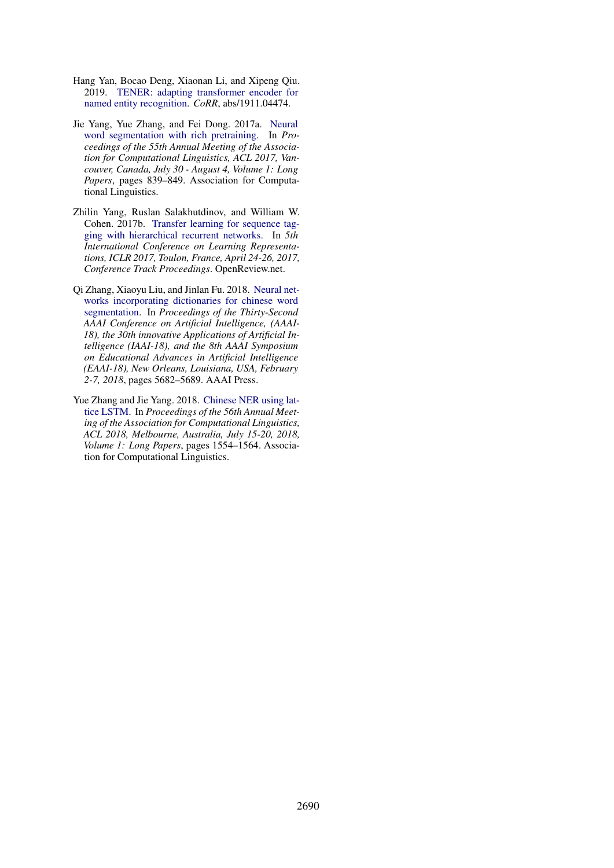- <span id="page-11-1"></span>Hang Yan, Bocao Deng, Xiaonan Li, and Xipeng Qiu. 2019. [TENER: adapting transformer encoder for](http://arxiv.org/abs/1911.04474) [named entity recognition.](http://arxiv.org/abs/1911.04474) *CoRR*, abs/1911.04474.
- <span id="page-11-2"></span>Jie Yang, Yue Zhang, and Fei Dong. 2017a. [Neural](https://doi.org/10.18653/v1/P17-1078) [word segmentation with rich pretraining.](https://doi.org/10.18653/v1/P17-1078) In *Proceedings of the 55th Annual Meeting of the Association for Computational Linguistics, ACL 2017, Vancouver, Canada, July 30 - August 4, Volume 1: Long Papers*, pages 839–849. Association for Computational Linguistics.
- <span id="page-11-4"></span>Zhilin Yang, Ruslan Salakhutdinov, and William W. Cohen. 2017b. [Transfer learning for sequence tag](https://openreview.net/forum?id=ByxpMd9lx)[ging with hierarchical recurrent networks.](https://openreview.net/forum?id=ByxpMd9lx) In *5th International Conference on Learning Representations, ICLR 2017, Toulon, France, April 24-26, 2017, Conference Track Proceedings*. OpenReview.net.
- <span id="page-11-3"></span>Qi Zhang, Xiaoyu Liu, and Jinlan Fu. 2018. [Neural net](https://www.aaai.org/ocs/index.php/AAAI/AAAI18/paper/view/16368)[works incorporating dictionaries for chinese word](https://www.aaai.org/ocs/index.php/AAAI/AAAI18/paper/view/16368) [segmentation.](https://www.aaai.org/ocs/index.php/AAAI/AAAI18/paper/view/16368) In *Proceedings of the Thirty-Second AAAI Conference on Artificial Intelligence, (AAAI-18), the 30th innovative Applications of Artificial Intelligence (IAAI-18), and the 8th AAAI Symposium on Educational Advances in Artificial Intelligence (EAAI-18), New Orleans, Louisiana, USA, February 2-7, 2018*, pages 5682–5689. AAAI Press.
- <span id="page-11-0"></span>Yue Zhang and Jie Yang. 2018. [Chinese NER using lat](https://doi.org/10.18653/v1/P18-1144)[tice LSTM.](https://doi.org/10.18653/v1/P18-1144) In *Proceedings of the 56th Annual Meeting of the Association for Computational Linguistics, ACL 2018, Melbourne, Australia, July 15-20, 2018, Volume 1: Long Papers*, pages 1554–1564. Association for Computational Linguistics.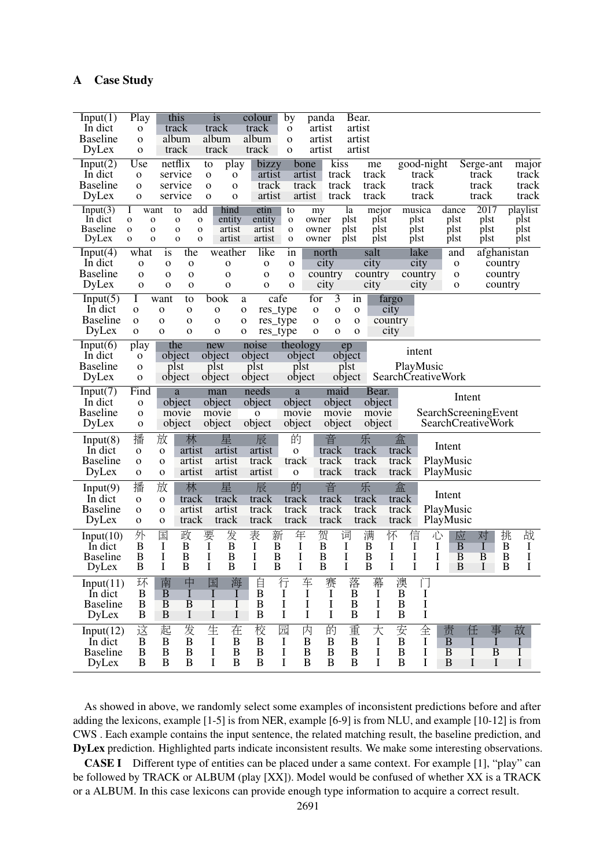| Input(1)<br>In dict             | Play<br>$\mathbf{O}$                     | this<br>track                              | <i>is</i><br>track                    | colour<br>track                | by<br>$\mathbf O$  | panda<br>artist                         | Bear.<br>artist       |                  |                                   |                            |                      |                  |
|---------------------------------|------------------------------------------|--------------------------------------------|---------------------------------------|--------------------------------|--------------------|-----------------------------------------|-----------------------|------------------|-----------------------------------|----------------------------|----------------------|------------------|
| <b>Baseline</b>                 | $\mathbf{O}$                             | album                                      | album                                 | album                          | $\mathbf{O}$       | artist                                  | artist                |                  |                                   |                            |                      |                  |
| DyLex                           | $\mathbf{O}$                             | track                                      | track                                 | track                          | $\mathbf{O}$       | artist                                  | artist                |                  |                                   |                            |                      |                  |
| Input(2)                        | Use                                      | netflix                                    | to                                    | bizzy<br>play                  | bone               | kiss                                    |                       | me               | good-night                        |                            | Serge-ant            | major            |
| In dict                         | $\mathbf O$                              | service                                    | $\mathbf{O}$                          | artist<br>$\mathbf O$          | artist             | track                                   |                       | track            | track                             |                            | track                | track            |
| <b>Baseline</b>                 | $\mathbf{O}$                             | service                                    | $\mathbf{O}$                          | track<br>$\mathbf 0$           | track              | track                                   |                       | track            | track                             |                            | track                | track            |
| DyLex                           | $\mathbf{o}$                             | service                                    | $\mathbf 0$                           | artist<br>$\mathbf 0$          | artist             | track                                   |                       | track            | track                             |                            | track                | track            |
| Input(3)<br>In dict             | Ι<br>want<br>$\mathbf{o}$<br>$\mathbf O$ | to<br>$\mathbf{O}$                         | add<br>hind<br>entity<br>$\mathbf{o}$ | etin<br>entity                 | to<br>$\mathbf{o}$ | my<br>owner                             | la<br>plst            | mejor<br>plst    | musica<br>plst                    | dance<br>plst              | 2017<br>plst         | playlist<br>plst |
| <b>Baseline</b>                 | $\mathbf{o}$<br>$\mathbf{O}$             | $\mathbf{o}$                               | artist<br>$\mathbf{o}$                | artist                         | $\mathbf{O}$       | owner                                   | plst                  | plst             | plst                              | plst                       | plst                 | plst             |
| DyLex                           | $\mathbf{o}$<br>$\mathbf{O}$             | $\mathbf{o}$                               | artist<br>$\mathbf{O}$                | artist                         | $\mathbf{O}$       | owner                                   | plst                  | plst             | plst                              | plst                       | plst                 | plst             |
| Input(4)                        | what                                     | the<br>is                                  | weather                               | like                           | in                 | north                                   |                       | salt             | lake                              | and                        | afghanistan          |                  |
| In dict                         | $\mathbf O$                              | $\mathbf O$<br>O                           | $\mathbf O$                           | $\mathbf{O}$                   | $\mathbf{O}$       | city                                    |                       | city             | city                              | $\mathbf O$                | country              |                  |
| <b>Baseline</b>                 | $\mathbf O$                              | $\Omega$<br>$\mathbf 0$                    | $\mathbf O$                           | $\mathbf O$                    | $\mathbf{o}$       | country                                 |                       | country          | country                           | $\mathbf O$                | country              |                  |
| DyLex                           | $\Omega$                                 | $\mathbf O$<br>$\mathbf{o}$                | $\mathbf{O}$                          | $\mathbf O$                    | $\mathbf{o}$       | city                                    |                       | city             | city                              | $\mathbf{o}$               | country              |                  |
| Input(5)<br>In dict             | I<br>$\mathbf{o}$                        | want<br>to<br>$\mathbf{O}$<br>$\mathbf{o}$ | book<br>$\mathbf O$                   | cafe<br>a<br>$\mathbf{o}$      | res_type           | for<br>3<br>$\mathbf{o}$<br>$\mathbf 0$ | in<br>$\mathbf{O}$    | fargo<br>city    |                                   |                            |                      |                  |
| <b>Baseline</b>                 | $\mathbf{o}$                             | $\mathbf{O}$<br>$\mathbf O$                | $\mathbf{o}$                          | $\mathbf{o}$                   | res_type           | $\mathbf{o}$<br>$\mathbf{O}$            | $\mathbf{O}$          | country          |                                   |                            |                      |                  |
| DyLex                           | $\mathbf{o}$                             | $\mathbf{O}$<br>$\mathbf O$                | $\mathbf{o}$                          | $\mathbf{o}$                   | res_type           | $\mathbf{O}$<br>$\mathbf{O}$            | $\mathbf{O}$          | city             |                                   |                            |                      |                  |
| Input(6)                        |                                          | the                                        |                                       | noise                          | theology           |                                         |                       |                  |                                   |                            |                      |                  |
| In dict                         | play                                     | object                                     | new<br>object                         | object                         | object             |                                         | ep<br>object          |                  | intent                            |                            |                      |                  |
| <b>Baseline</b>                 | $\mathbf{O}$<br>$\mathbf{O}$             | plst                                       | plst                                  | plst                           | plst               |                                         | plst                  |                  | PlayMusic                         |                            |                      |                  |
| DyLex                           | $\mathbf{O}$                             | object                                     | object                                | object                         | object             |                                         | object                |                  | SearchCreativeWork                |                            |                      |                  |
| Input(7)                        | Find                                     | a                                          | man                                   | needs                          | a                  | maid                                    |                       | Bear.            |                                   |                            |                      |                  |
| In dict                         | $\mathbf{O}$                             | object                                     | object                                | object                         | object             | object                                  |                       | object           |                                   | Intent                     |                      |                  |
| <b>Baseline</b>                 | $\mathbf{O}$                             | movie                                      | movie                                 | $\mathbf O$                    | movie              | movie                                   |                       | movie            |                                   |                            | SearchScreeningEvent |                  |
| DyLex                           | $\mathbf{o}$                             | object                                     | object                                | object                         | object             | object                                  |                       | object           |                                   |                            | SearchCreativeWork   |                  |
|                                 |                                          |                                            |                                       |                                |                    |                                         |                       |                  |                                   |                            |                      |                  |
| Input(8)                        | 播                                        | 放<br>林                                     | 星                                     | 辰                              | 的                  | 音                                       | 乐                     |                  | 盒                                 | Intent                     |                      |                  |
| In dict                         | $\mathbf 0$                              | artist<br>$\mathbf O$                      | artist                                | artist                         | $\mathbf 0$        | track                                   |                       |                  | track                             |                            |                      |                  |
| <b>Baseline</b>                 | $\mathbf{O}$                             |                                            |                                       |                                |                    |                                         | track                 |                  |                                   |                            |                      |                  |
|                                 |                                          | artist<br>$\Omega$                         | artist                                | track                          | track              | track                                   | track                 |                  | track                             | PlayMusic                  |                      |                  |
| DyLex                           | $\mathbf{O}$                             | artist<br>$\mathbf O$                      | artist                                | artist                         | $\mathbf O$        | track                                   | track                 |                  | track                             | PlayMusic                  |                      |                  |
| Input(9)                        | 播                                        | 林<br>放                                     | 星                                     | 辰                              | 的                  | 音                                       | 乐                     |                  | 盒                                 |                            |                      |                  |
| In dict                         | $\mathbf O$                              | track<br>$\mathbf O$                       | track                                 | track                          | track              | track                                   | track                 |                  | track                             | Intent                     |                      |                  |
| <b>Baseline</b>                 | $\mathbf{O}$                             | artist<br>$\mathbf{O}$                     | artist                                | track                          | track              | track                                   | track                 |                  | track                             | PlayMusic                  |                      |                  |
| DyLex                           | $\mathbf{o}$                             | track<br>$\mathbf{o}$                      | track                                 | track                          | track              | track                                   | track                 |                  | track                             | PlayMusic                  |                      |                  |
| Input(10)                       | 外                                        | 政<br>国                                     | 发                                     | 表<br>新                         | 年                  | 贺<br>词                                  |                       | 满<br>怀           | 信<br>心                            | 应                          | 对                    | 挑<br>战           |
| In dict                         | $\bf{B}$                                 | $\overline{B}$<br>$\bf{I}$                 | 要I<br>$\, {\bf B}$                    | $\bf{B}$<br>I                  | $\mathbf I$        | $\overline{B}$<br>$\mathbf I$           |                       | $\mathbf I$<br>B | I<br>Ι                            | $\overline{B}$             | I                    | B<br>$\bf{I}$    |
| <b>Baseline</b>                 | $\bf{B}$                                 | I<br>B                                     | I<br>B                                | B<br>Ι                         | I                  | $\bf{B}$                                | I                     | B<br>I           | I<br>Ι                            | $\overline{B}$             | B                    | $\mathbf I$<br>B |
| DyLex                           | B                                        | I<br>$\bf{B}$                              | I<br>$\bf{B}$                         | I<br>B                         | I                  | B                                       | I                     | I<br>B           | I<br>I                            | B                          | I                    | I<br>B           |
| Input(11)                       | 环                                        | 中<br>南                                     | 国                                     | 自<br>海                         | 行                  | 车<br>赛                                  | 落                     | 幕                | 澳<br>门                            |                            |                      |                  |
| In dict                         | $\bf{B}$                                 | B<br>Ι                                     | $\bf{l}$                              | $\bf{B}$<br>I                  | $\mathbf I$        | I<br>I                                  | B                     | I                | $\bf{B}$<br>I                     |                            |                      |                  |
| <b>Baseline</b>                 | B                                        | $\overline{B}$<br>$\overline{B}$           | I                                     | $\bf{B}$<br>I                  | $\mathbf I$        | I<br>Ι                                  | B                     | $\mathbf I$      | $\bf I$<br>$\bf{B}$               |                            |                      |                  |
| <b>DyLex</b>                    | B                                        | B<br>I                                     | I                                     | I<br>$\mathbf B$               | I                  | I<br>I                                  | $\mathbf B$           | I                | I<br>$\mathbf B$                  |                            |                      |                  |
|                                 |                                          | 起                                          |                                       |                                | 园                  | 的<br>内                                  | 重                     |                  |                                   | 责                          | 任<br>事               | 故                |
| Input(12)<br>In dict            | 这<br>B                                   | 发<br>$\bf{B}$<br>$\bf{B}$                  | 生<br>$\mathbf I$                      | 校<br>在<br>B<br>$\bf{B}$        | $\mathbf I$        | $\bf{B}$<br>B                           | $\bf{B}$              | 大<br>$\mathbf I$ | 全<br>安<br>$\bf{B}$<br>$\mathbf I$ | $\overline{B}$             | T<br>T               | L                |
| <b>Baseline</b><br><b>DyLex</b> | B<br>B                                   | B<br>B<br>B<br>$\bf{B}$                    | I<br>I                                | $\bf{B}$<br>B<br>B<br>$\bf{B}$ | I<br>I             | $\bf{B}$<br>B<br>B<br>B                 | B<br>$\boldsymbol{B}$ | I<br>I           | B<br>I<br>$\bf{B}$<br>I           | $\overline{B}$<br>$\bf{B}$ | I<br>B<br>I          | Ι<br>I           |

As showed in above, we randomly select some examples of inconsistent predictions before and after adding the lexicons, example [1-5] is from NER, example [6-9] is from NLU, and example [10-12] is from CWS . Each example contains the input sentence, the related matching result, the baseline prediction, and DyLex prediction. Highlighted parts indicate inconsistent results. We make some interesting observations.

CASE I Different type of entities can be placed under a same context. For example [1], "play" can be followed by TRACK or ALBUM (play [XX]). Model would be confused of whether XX is a TRACK or a ALBUM. In this case lexicons can provide enough type information to acquire a correct result.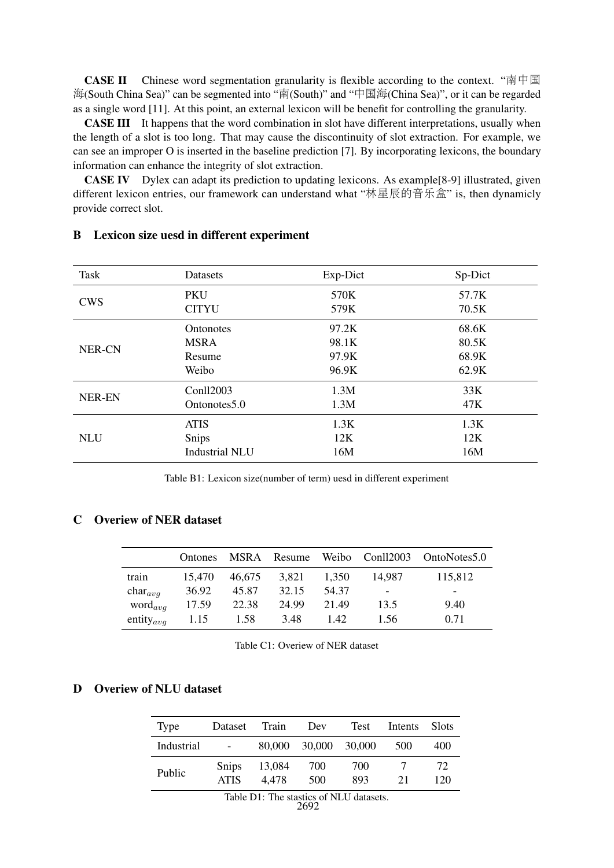**CASE II** Chinese word segmentation granularity is flexible according to the context. "南中国 海(South China Sea)" can be segmented into "南(South)" and "中国海(China Sea)", or it can be regarded as a single word [11]. At this point, an external lexicon will be benefit for controlling the granularity.

CASE III It happens that the word combination in slot have different interpretations, usually when the length of a slot is too long. That may cause the discontinuity of slot extraction. For example, we can see an improper O is inserted in the baseline prediction [7]. By incorporating lexicons, the boundary information can enhance the integrity of slot extraction.

CASE IV Dylex can adapt its prediction to updating lexicons. As example[8-9] illustrated, given different lexicon entries, our framework can understand what "林星辰的音乐盒" is, then dynamicly provide correct slot.

| Task          | Datasets              | Exp-Dict | Sp-Dict |
|---------------|-----------------------|----------|---------|
| <b>CWS</b>    | <b>PKU</b>            | 570K     | 57.7K   |
|               | <b>CITYU</b>          | 579K     | 70.5K   |
| <b>NER-CN</b> | <b>Ontonotes</b>      | 97.2K    | 68.6K   |
|               | <b>MSRA</b>           | 98.1K    | 80.5K   |
|               | Resume                | 97.9K    | 68.9K   |
|               | Weibo                 | 96.9K    | 62.9K   |
| <b>NER-EN</b> | Conll2003             | 1.3M     | 33K     |
|               | Ontonotes 5.0         | 1.3M     | 47K     |
| <b>NLU</b>    | <b>ATIS</b>           | 1.3K     | 1.3K    |
|               | Snips                 | 12K      | 12K     |
|               | <b>Industrial NLU</b> | 16M      | 16M     |

# <span id="page-13-0"></span>B Lexicon size uesd in different experiment

Table B1: Lexicon size(number of term) uesd in different experiment

# <span id="page-13-1"></span>C Overiew of NER dataset

|                       | Ontones |        |       |       |                          | MSRA Resume Weibo Conll2003 OntoNotes5.0 |
|-----------------------|---------|--------|-------|-------|--------------------------|------------------------------------------|
| train                 | 15,470  | 46,675 | 3,821 | 1.350 | 14.987                   | 115,812                                  |
| $char_{avg}$          | 36.92   | 45.87  | 32.15 | 54.37 | $\overline{\phantom{0}}$ | -                                        |
| $word_{avg}$          | 17.59   | 22.38  | 24.99 | 21.49 | 13.5                     | 9.40                                     |
| entity <sub>avq</sub> | 1.15    | 1.58   | 3.48  | 1.42  | 1.56                     | 0.71                                     |

Table C1: Overiew of NER dataset

# <span id="page-13-2"></span>D Overiew of NLU dataset

| Type       | Dataset              | Train           | Dev        | Test       | Intents | <b>Slots</b> |
|------------|----------------------|-----------------|------------|------------|---------|--------------|
| Industrial | $\sim$               | 80,000          | 30,000     | 30,000     | 500     | 400          |
| Public     | Snips<br><b>ATIS</b> | 13,084<br>4.478 | 700<br>500 | 700<br>893 | 21      | 72<br>120    |

2692 Table D1: The stastics of NLU datasets.